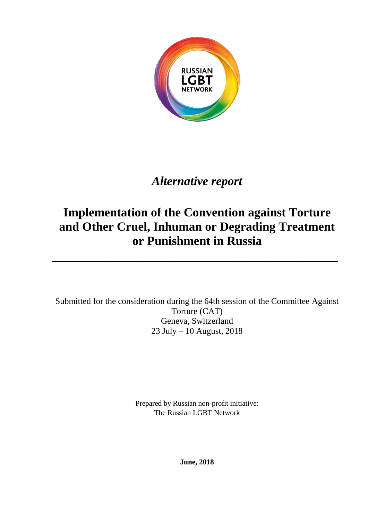

## *Alternative report*

# **Implementation of the Convention against Torture and Other Cruel, Inhuman or Degrading Treatment or Punishment in Russia**

**\_\_\_\_\_\_\_\_\_\_\_\_\_\_\_\_\_\_\_\_\_\_\_\_\_\_\_\_\_\_\_\_\_\_\_\_\_\_\_\_\_\_**

Submitted for the consideration during the 64th session of the Committee Against Torture (CAT) Geneva, Switzerland 23 July – 10 August, 2018

> Prepared by Russian non-profit initiative: The Russian LGBT Network

> > **June, 2018**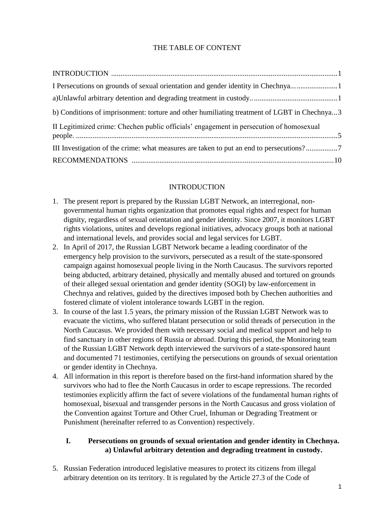## THE TABLE OF CONTENT

| I Persecutions on grounds of sexual orientation and gender identity in Chechnya             |  |
|---------------------------------------------------------------------------------------------|--|
|                                                                                             |  |
| b) Conditions of imprisonment: torture and other humiliating treatment of LGBT in Chechnya3 |  |
| II Legitimized crime: Chechen public officials' engagement in persecution of homosexual     |  |
| III Investigation of the crime: what measures are taken to put an end to persecutions?      |  |
|                                                                                             |  |

### INTRODUCTION

- 1. The present report is prepared by the Russian LGBT Network, an interregional, nongovernmental human rights organization that promotes equal rights and respect for human dignity, regardless of sexual orientation and gender identity. Since 2007, it monitors LGBT rights violations, unites and develops regional initiatives, advocacy groups both at national and international levels, and provides social and legal services for LGBT.
- 2. In April of 2017, the Russian LGBT Network became a leading coordinator of the emergency help provision to the survivors, persecuted as a result of the state-sponsored campaign against homosexual people living in the North Caucasus. The survivors reported being abducted, arbitrary detained, physically and mentally abused and tortured on grounds of their alleged sexual orientation and gender identity (SOGI) by law-enforcement in Chechnya and relatives, guided by the directives imposed both by Chechen authorities and fostered climate of violent intolerance towards LGBT in the region.
- 3. In course of the last 1.5 years, the primary mission of the Russian LGBT Network was to evacuate the victims, who suffered blatant persecution or solid threads of persecution in the North Caucasus. We provided them with necessary social and medical support and help to find sanctuary in other regions of Russia or abroad. During this period, the Monitoring team of the Russian LGBT Network depth interviewed the survivors of a state-sponsored haunt and documented 71 testimonies, certifying the persecutions on grounds of sexual orientation or gender identity in Chechnya.
- 4. All information in this report is therefore based on the first-hand information shared by the survivors who had to flee the North Caucasus in order to escape repressions. The recorded testimonies explicitly affirm the fact of severe violations of the fundamental human rights of homosexual, bisexual and transgender persons in the North Caucasus and gross violation of the Convention against Torture and Other Cruel, Inhuman or Degrading Treatment or Punishment (hereinafter referred to as Convention) respectively.

## **I. Persecutions on grounds of sexual orientation and gender identity in Chechnya. a) Unlawful arbitrary detention and degrading treatment in custody.**

5. Russian Federation introduced legislative measures to protect its citizens from illegal arbitrary detention on its territory. It is regulated by the Article 27.3 of the Code of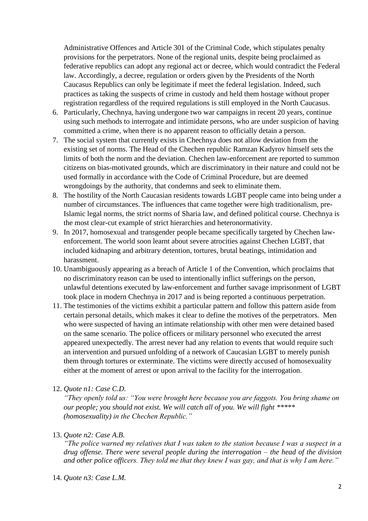Administrative Offences and Article 301 of the Criminal Code, which stipulates penalty provisions for the perpetrators. None of the regional units, despite being proclaimed as federative republics can adopt any regional act or decree, which would contradict the Federal law. Accordingly, a decree, regulation or orders given by the Presidents of the North Caucasus Republics can only be legitimate if meet the federal legislation. Indeed, such practices as taking the suspects of crime in custody and held them hostage without proper registration regardless of the required regulations is still employed in the North Caucasus.

- 6. Particularly, Chechnya, having undergone two war campaigns in recent 20 years, continue using such methods to interrogate and intimidate persons, who are under suspicion of having committed a crime, when there is no apparent reason to officially detain a person.
- 7. The social system that currently exists in Chechnya does not allow deviation from the existing set of norms. The Head of the Chechen republic Ramzan Kadyrov himself sets the limits of both the norm and the deviation. Chechen law-enforcement are reported to summon citizens on bias-motivated grounds, which are discriminatory in their nature and could not be used formally in accordance with the Code of Criminal Procedure, but are deemed wrongdoings by the authority, that condemns and seek to eliminate them.
- 8. The hostility of the North Caucasian residents towards LGBT people came into being under a number of circumstances. The influences that came together were high traditionalism, pre-Islamic legal norms, the strict norms of Sharia law, and defined political course. Chechnya is the most clear-cut example of strict hierarchies and heteronormativity.
- 9. In 2017, homosexual and transgender people became specifically targeted by Chechen lawenforcement. The world soon learnt about severe atrocities against Chechen LGBT, that included kidnaping and arbitrary detention, tortures, brutal beatings, intimidation and harassment.
- 10. Unambiguously appearing as a breach of Article 1 of the Convention, which proclaims that no discriminatory reason can be used to intentionally inflict sufferings on the person, unlawful detentions executed by law-enforcement and further savage imprisonment of LGBT took place in modern Chechnya in 2017 and is being reported a continuous perpetration.
- 11. The testimonies of the victims exhibit a particular pattern and follow this pattern aside from certain personal details, which makes it clear to define the motives of the perpetrators. Men who were suspected of having an intimate relationship with other men were detained based on the same scenario. The police officers or military personnel who executed the arrest appeared unexpectedly. The arrest never had any relation to events that would require such an intervention and pursued unfolding of a network of Caucasian LGBT to merely punish them through tortures or exterminate. The victims were directly accused of homosexuality either at the moment of arrest or upon arrival to the facility for the interrogation.
- 12. *Quote n1: Case C.D.*

*"They openly told us: "You were brought here because you are faggots. You bring shame on our people; you should not exist. We will catch all of you. We will fight \*\*\*\*\* (homosexuality) in the Chechen Republic."* 

13. *Quote n2: Case A.B.*

*"The police warned my relatives that I was taken to the station because I was a suspect in a drug offense. There were several people during the interrogation – the head of the division and other police officers. They told me that they knew I was gay, and that is why I am here."*

14. *Quote n3: Case L.M.*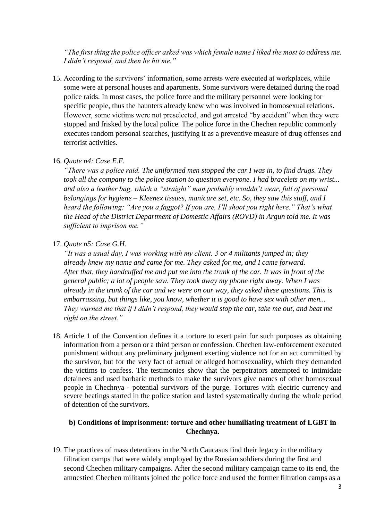*"The first thing the police officer asked was which female name I liked the most to address me. I didn't respond, and then he hit me."*

15. According to the survivors' information, some arrests were executed at workplaces, while some were at personal houses and apartments. Some survivors were detained during the road police raids. In most cases, the police force and the military personnel were looking for specific people, thus the haunters already knew who was involved in homosexual relations. However, some victims were not preselected, and got arrested "by accident" when they were stopped and frisked by the local police. The police force in the Chechen republic commonly executes random personal searches, justifying it as a preventive measure of drug offenses and terrorist activities.

#### 16. *Quote n4: Case E.F.*

*"There was a police raid. The uniformed men stopped the car I was in, to find drugs. They took all the company to the police station to question everyone. I had bracelets on my wrist... and also a leather bag, which a "straight" man probably wouldn't wear, full of personal belongings for hygiene – Kleenex tissues, manicure set, etc. So, they saw this stuff, and I heard the following: "Are you a faggot? If you are, I'll shoot you right here." That's what the Head of the District Department of Domestic Affairs (ROVD) in Argun told me. It was sufficient to imprison me."*

### 17. *Quote n5: Case G.H.*

*"It was a usual day, I was working with my client. 3 or 4 militants jumped in; they already knew my name and came for me. They asked for me, and I came forward. After that, they handcuffed me and put me into the trunk of the car. It was in front of the general public; a lot of people saw. They took away my phone right away. When I was already in the trunk of the car and we were on our way, they asked these questions. This is embarrassing, but things like, you know, whether it is good to have sex with other men... They warned me that if I didn't respond, they would stop the car, take me out, and beat me right on the street."*

18. Article 1 of the Convention defines it a torture to exert pain for such purposes as obtaining information from a person or a third person or confession. Chechen law-enforcement executed punishment without any preliminary judgment exerting violence not for an act committed by the survivor, but for the very fact of actual or alleged homosexuality, which they demanded the victims to confess. The testimonies show that the perpetrators attempted to intimidate detainees and used barbaric methods to make the survivors give names of other homosexual people in Chechnya - potential survivors of the purge. Tortures with electric currency and severe beatings started in the police station and lasted systematically during the whole period of detention of the survivors.

## **b) Conditions of imprisonment: torture and other humiliating treatment of LGBT in Chechnya.**

19. The practices of mass detentions in the North Caucasus find their legacy in the military filtration camps that were widely employed by the Russian soldiers during the first and second Chechen military campaigns. After the second military campaign came to its end, the amnestied Chechen militants joined the police force and used the former filtration camps as a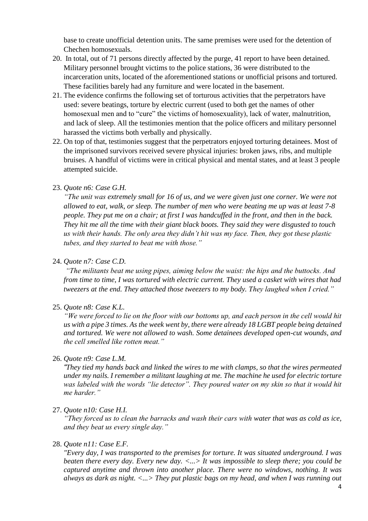base to create unofficial detention units. The same premises were used for the detention of Chechen homosexuals.

- 20. In total, out of 71 persons directly affected by the purge, 41 report to have been detained. Military personnel brought victims to the police stations, 36 were distributed to the incarceration units, located of the aforementioned stations or unofficial prisons and tortured. These facilities barely had any furniture and were located in the basement.
- 21. The evidence confirms the following set of torturous activities that the perpetrators have used: severe beatings, torture by electric current (used to both get the names of other homosexual men and to "cure" the victims of homosexuality), lack of water, malnutrition, and lack of sleep. All the testimonies mention that the police officers and military personnel harassed the victims both verbally and physically.
- 22. On top of that, testimonies suggest that the perpetrators enjoyed torturing detainees. Most of the imprisoned survivors received severe physical injuries: broken jaws, ribs, and multiple bruises. A handful of victims were in critical physical and mental states, and at least 3 people attempted suicide.

### 23. *Quote n6: Case G.H.*

*"The unit was extremely small for 16 of us, and we were given just one corner. We were not allowed to eat, walk, or sleep. The number of men who were beating me up was at least 7-8 people. They put me on a chair; at first I was handcuffed in the front, and then in the back. They hit me all the time with their giant black boots. They said they were disgusted to touch us with their hands. The only area they didn't hit was my face. Then, they got these plastic tubes, and they started to beat me with those."*

#### 24. *Quote n7: Case C.D.*

*"The militants beat me using pipes, aiming below the waist: the hips and the buttocks. And from time to time, I was tortured with electric current. They used a casket with wires that had tweezers at the end. They attached those tweezers to my body. They laughed when I cried."*

## 25. *Quote n8: Case K.L.*

*"We were forced to lie on the floor with our bottoms up, and each person in the cell would hit us with a pipe 3 times. As the week went by, there were already 18 LGBT people being detained and tortured. We were not allowed to wash. Some detainees developed open-cut wounds, and the cell smelled like rotten meat."*

#### 26. *Quote n9: Case L.M.*

*"They tied my hands back and linked the wires to me with clamps, so that the wires permeated under my nails. I remember a militant laughing at me. The machine he used for electric torture was labeled with the words "lie detector". They poured water on my skin so that it would hit me harder."*

#### 27. *Quote n10: Case H.I.*

*"They forced us to clean the barracks and wash their cars with water that was as cold as ice, and they beat us every single day."*

#### 28. *Quote n11: Case E.F.*

*"Every day, I was transported to the premises for torture. It was situated underground. I was beaten there every day. Every new day. <...> It was impossible to sleep there; you could be captured anytime and thrown into another place. There were no windows, nothing. It was always as dark as night. <...> They put plastic bags on my head, and when I was running out*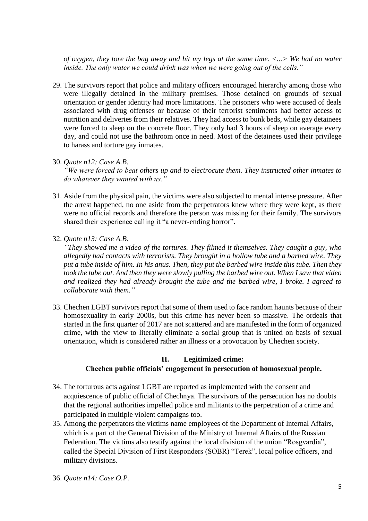*of oxygen, they tore the bag away and hit my legs at the same time. <...> We had no water inside. The only water we could drink was when we were going out of the cells."*

29. The survivors report that police and military officers encouraged hierarchy among those who were illegally detained in the military premises. Those detained on grounds of sexual orientation or gender identity had more limitations. The prisoners who were accused of deals associated with drug offenses or because of their terrorist sentiments had better access to nutrition and deliveries from their relatives. They had access to bunk beds, while gay detainees were forced to sleep on the concrete floor. They only had 3 hours of sleep on average every day, and could not use the bathroom once in need. Most of the detainees used their privilege to harass and torture gay inmates.

### 30. *Quote n12: Case A.B.*

*"We were forced to beat others up and to electrocute them. They instructed other inmates to do whatever they wanted with us."*

- 31. Aside from the physical pain, the victims were also subjected to mental intense pressure. After the arrest happened, no one aside from the perpetrators knew where they were kept, as there were no official records and therefore the person was missing for their family. The survivors shared their experience calling it "a never-ending horror".
- 32. *Quote n13: Case A.B.*

*"They showed me a video of the tortures. They filmed it themselves. They caught a guy, who allegedly had contacts with terrorists. They brought in a hollow tube and a barbed wire. They put a tube inside of him. In his anus. Then, they put the barbed wire inside this tube. Then they took the tube out. And then they were slowly pulling the barbed wire out. When I saw that video and realized they had already brought the tube and the barbed wire, I broke. I agreed to collaborate with them."*

33. Chechen LGBT survivors report that some of them used to face random haunts because of their homosexuality in early 2000s, but this crime has never been so massive. The ordeals that started in the first quarter of 2017 are not scattered and are manifested in the form of organized crime, with the view to literally eliminate a social group that is united on basis of sexual orientation, which is considered rather an illness or a provocation by Chechen society.

## **II. Legitimized crime: Chechen public officials' engagement in persecution of homosexual people.**

- 34. The torturous acts against LGBT are reported as implemented with the consent and acquiescence of public official of Chechnya. The survivors of the persecution has no doubts that the regional authorities impelled police and militants to the perpetration of a crime and participated in multiple violent campaigns too.
- 35. Among the perpetrators the victims name employees of the Department of Internal Affairs, which is a part of the General Division of the Ministry of Internal Affairs of the Russian Federation. The victims also testify against the local division of the union "Rosgvardia", called the Special Division of First Responders (SOBR) "Terek", local police officers, and military divisions.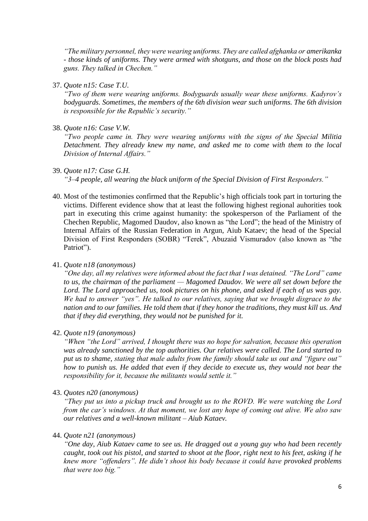*"The military personnel, they were wearing uniforms. They are called afghanka or amerikanka - those kinds of uniforms. They were armed with shotguns, and those on the block posts had guns. They talked in Chechen."*

37. *Quote n15: Case T.U.*

*"Two of them were wearing uniforms. Bodyguards usually wear these uniforms. Kadyrov's bodyguards. Sometimes, the members of the 6th division wear such uniforms. The 6th division is responsible for the Republic's security."*

38. *Quote n16: Case V.W.*

*"Two people came in. They were wearing uniforms with the signs of the Special Militia Detachment. They already knew my name, and asked me to come with them to the local Division of Internal Affairs."*

39. *Quote n17: Case G.H.*

*"3–4 people, all wearing the black uniform of the Special Division of First Responders."*

- 40. Most of the testimonies confirmed that the Republic's high officials took part in torturing the victims. Different evidence show that at least the following highest regional auhorities took part in executing this crime against humanity: the spokesperson of the Parliament of the Chechen Republic, Magomed Daudov, also known as "the Lord"; the head of the Ministry of Internal Affairs of the Russian Federation in Argun, Aiub Kataev; the head of the Special Division of First Responders (SOBR) "Terek", Abuzaid Vismuradov (also known as "the Patriot").
- 41. *Quote n18 (anonymous)*

*"One day, all my relatives were informed about the fact that I was detained. "The Lord" came to us, the chairman of the parliament — Magomed Daudov. We were all set down before the Lord. The Lord approached us, took pictures on his phone, and asked if each of us was gay. We had to answer "yes". He talked to our relatives, saying that we brought disgrace to the nation and to our families. He told them that if they honor the traditions, they must kill us. And that if they did everything, they would not be punished for it.* 

42. *Quote n19 (anonymous)*

*"When "the Lord" arrived, I thought there was no hope for salvation, because this operation was already sanctioned by the top authorities. Our relatives were called. The Lord started to put us to shame, stating that male adults from the family should take us out and "figure out" how to punish us. He added that even if they decide to execute us, they would not bear the responsibility for it, because the militants would settle it."*

43. *Quotes n20 (anonymous)*

*"They put us into a pickup truck and brought us to the ROVD. We were watching the Lord from the car's windows. At that moment, we lost any hope of coming out alive. We also saw our relatives and a well-known militant – Aiub Kataev.*

44. *Quote n21 (anonymous)*

*"One day, Aiub Kataev came to see us. He dragged out a young guy who had been recently caught, took out his pistol, and started to shoot at the floor, right next to his feet, asking if he knew more "offenders". He didn't shoot his body because it could have provoked problems that were too big."*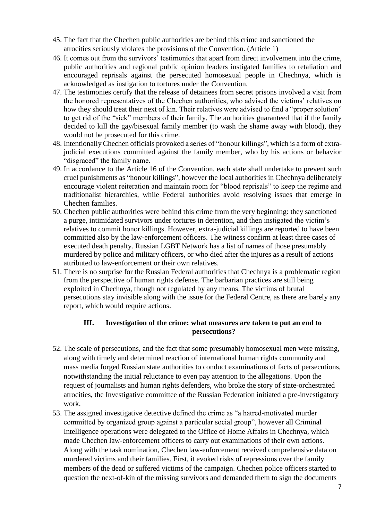- 45. The fact that the Chechen public authorities are behind this crime and sanctioned the atrocities seriously violates the provisions of the Convention. (Article 1)
- 46. It comes out from the survivors' testimonies that apart from direct involvement into the crime, public authorities and regional public opinion leaders instigated families to retaliation and encouraged reprisals against the persecuted homosexual people in Chechnya, which is acknowledged as instigation to tortures under the Convention.
- 47. The testimonies certify that the release of detainees from secret prisons involved a visit from the honored representatives of the Chechen authorities, who advised the victims' relatives on how they should treat their next of kin. Their relatives were advised to find a "proper solution" to get rid of the "sick" members of their family. The authorities guaranteed that if the family decided to kill the gay/bisexual family member (to wash the shame away with blood), they would not be prosecuted for this crime.
- 48. Intentionally Chechen officials provoked a series of "honour killings", which is a form of extrajudicial executions committed against the family member, who by his actions or behavior "disgraced" the family name.
- 49. In accordance to the Article 16 of the Convention, each state shall undertake to prevent such cruel punishments as "honour killings", however the local authorities in Chechnya deliberately encourage violent reiteration and maintain room for "blood reprisals" to keep the regime and traditionalist hierarchies, while Federal authorities avoid resolving issues that emerge in Chechen families.
- 50. Chechen public authorities were behind this crime from the very beginning: they sanctioned a purge, intimidated survivors under tortures in detention, and then instigated the victim's relatives to commit honor killings. However, extra-judicial killings are reported to have been committed also by the law-enforcement officers. The witness confirm at least three cases of executed death penalty. Russian LGBT Network has a list of names of those presumably murdered by police and military officers, or who died after the injures as a result of actions attributed to law-enforcement or their own relatives.
- 51. There is no surprise for the Russian Federal authorities that Chechnya is a problematic region from the perspective of human rights defense. The barbarian practices are still being exploited in Chechnya, though not regulated by any means. The victims of brutal persecutions stay invisible along with the issue for the Federal Centre, as there are barely any report, which would require actions.

## **III. Investigation of the crime: what measures are taken to put an end to persecutions?**

- 52. The scale of persecutions, and the fact that some presumably homosexual men were missing, along with timely and determined reaction of international human rights community and mass media forged Russian state authorities to conduct examinations of facts of persecutions, notwithstanding the initial reluctance to even pay attention to the allegations. Upon the request of journalists and human rights defenders, who broke the story of state-orchestrated atrocities, the Investigative committee of the Russian Federation initiated a pre-investigatory work.
- 53. The assigned investigative detective defined the crime as "a hatred-motivated murder committed by organized group against a particular social group", however all Criminal Intelligence operations were delegated to the Office of Home Affairs in Chechnya, which made Chechen law-enforcement officers to carry out examinations of their own actions. Along with the task nomination, Chechen law-enforcement received comprehensive data on murdered victims and their families. First, it evoked risks of repressions over the family members of the dead or suffered victims of the campaign. Chechen police officers started to question the next-of-kin of the missing survivors and demanded them to sign the documents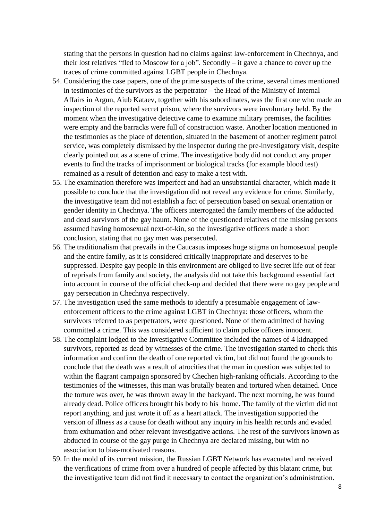stating that the persons in question had no claims against law-enforcement in Chechnya, and their lost relatives "fled to Moscow for a job". Secondly – it gave a chance to cover up the traces of crime committed against LGBT people in Chechnya.

- 54. Considering the case papers, one of the prime suspects of the crime, several times mentioned in testimonies of the survivors as the perpetrator – the Head of the Ministry of Internal Affairs in Argun, Aiub Kataev, together with his subordinates, was the first one who made an inspection of the reported secret prison, where the survivors were involuntary held. By the moment when the investigative detective came to examine military premises, the facilities were empty and the barracks were full of construction waste. Another location mentioned in the testimonies as the place of detention, situated in the basement of another regiment patrol service, was completely dismissed by the inspector during the pre-investigatory visit, despite clearly pointed out as a scene of crime. The investigative body did not conduct any proper events to find the tracks of imprisonment or biological tracks (for example blood test) remained as a result of detention and easy to make a test with.
- 55. The examination therefore was imperfect and had an unsubstantial character, which made it possible to conclude that the investigation did not reveal any evidence for crime. Similarly, the investigative team did not establish a fact of persecution based on sexual orientation or gender identity in Chechnya. The officers interrogated the family members of the adducted and dead survivors of the gay haunt. None of the questioned relatives of the missing persons assumed having homosexual next-of-kin, so the investigative officers made a short conclusion, stating that no gay men was persecuted.
- 56. The traditionalism that prevails in the Caucasus imposes huge stigma on homosexual people and the entire family, as it is considered critically inappropriate and deserves to be suppressed. Despite gay people in this environment are obliged to live secret life out of fear of reprisals from family and society, the analysis did not take this background essential fact into account in course of the official check-up and decided that there were no gay people and gay persecution in Chechnya respectively.
- 57. The investigation used the same methods to identify a presumable engagement of lawenforcement officers to the crime against LGBT in Chechnya: those officers, whom the survivors referred to as perpetrators, were questioned. None of them admitted of having committed a crime. This was considered sufficient to claim police officers innocent.
- 58. The complaint lodged to the Investigative Committee included the names of 4 kidnapped survivors, reported as dead by witnesses of the crime. The investigation started to check this information and confirm the death of one reported victim, but did not found the grounds to conclude that the death was a result of atrocities that the man in question was subjected to within the flagrant campaign sponsored by Chechen high-ranking officials. According to the testimonies of the witnesses, this man was brutally beaten and tortured when detained. Once the torture was over, he was thrown away in the backyard. The next morning, he was found already dead. Police officers brought his body to his home. The family of the victim did not report anything, and just wrote it off as a heart attack. The investigation supported the version of illness as a cause for death without any inquiry in his health records and evaded from exhumation and other relevant investigative actions. The rest of the survivors known as abducted in course of the gay purge in Chechnya are declared missing, but with no association to bias-motivated reasons.
- 59. In the mold of its current mission, the Russian LGBT Network has evacuated and received the verifications of crime from over a hundred of people affected by this blatant crime, but the investigative team did not find it necessary to contact the organization's administration.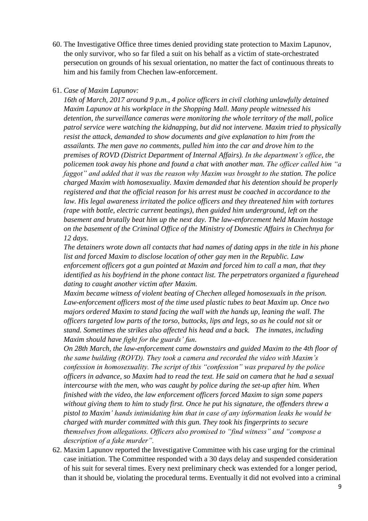60. The Investigative Office three times denied providing state protection to Maxim Lapunov, the only survivor, who so far filed a suit on his behalf as a victim of state-orchestrated persecution on grounds of his sexual orientation, no matter the fact of continuous threats to him and his family from Chechen law-enforcement.

### 61. *Case of Maxim Lapunov:*

*16th of March, 2017 around 9 p.m., 4 police officers in civil clothing unlawfully detained Maxim Lapunov at his workplace in the Shopping Mall. Many people witnessed his detention, the surveillance cameras were monitoring the whole territory of the mall, police patrol service were watching the kidnapping, but did not intervene. Maxim tried to physically resist the attack, demanded to show documents and give explanation to him from the assailants. The men gave no comments, pulled him into the car and drove him to the premises of ROVD (District Department of Internal Affairs). In the department's office, the policemen took away his phone and found a chat with another man. The officer called him "a faggot" and added that it was the reason why Maxim was brought to the station. The police charged Maxim with homosexuality. Maxim demanded that his detention should be properly registered and that the official reason for his arrest must be coached in accordance to the law. His legal awareness irritated the police officers and they threatened him with tortures (rape with bottle, electric current beatings), then guided him underground, left on the basement and brutally beat him up the next day. The law-enforcement held Maxim hostage on the basement of the Criminal Office of the Ministry of Domestic Affairs in Chechnya for 12 days.*

*The detainers wrote down all contacts that had names of dating apps in the title in his phone list and forced Maxim to disclose location of other gay men in the Republic. Law enforcement officers got a gun pointed at Maxim and forced him to call a man, that they identified as his boyfriend in the phone contact list. The perpetrators organized a figurehead dating to caught another victim after Maxim.* 

*Maxim became witness of violent beating of Chechen alleged homosexuals in the prison. Law-enforcement officers most of the time used plastic tubes to beat Maxim up. Once two majors ordered Maxim to stand facing the wall with the hands up, leaning the wall. The officers targeted low parts of the torso, buttocks, lips and legs, so as he could not sit or stand. Sometimes the strikes also affected his head and a back. The inmates, including Maxim should have fight for the guards' fun.* 

*On 28th March, the law-enforcement came downstairs and guided Maxim to the 4th floor of the same building (ROVD). They took a camera and recorded the video with Maxim's confession in homosexuality. The script of this "confession" was prepared by the police officers in advance, so Maxim had to read the text. He said on camera that he had a sexual intercourse with the men, who was caught by police during the set-up after him. When finished with the video, the law enforcement officers forced Maxim to sign some papers without giving them to him to study first. Once he put his signature, the offenders threw a pistol to Maxim' hands intimidating him that in case of any information leaks he would be charged with murder committed with this gun. They took his fingerprints to secure themselves from allegations. Officers also promised to "find witness" and "compose a description of a fake murder".*

62. Maxim Lapunov reported the Investigative Committee with his case urging for the criminal case initiation. The Committee responded with a 30 days delay and suspended consideration of his suit for several times. Every next preliminary check was extended for a longer period, than it should be, violating the procedural terms. Eventually it did not evolved into a criminal